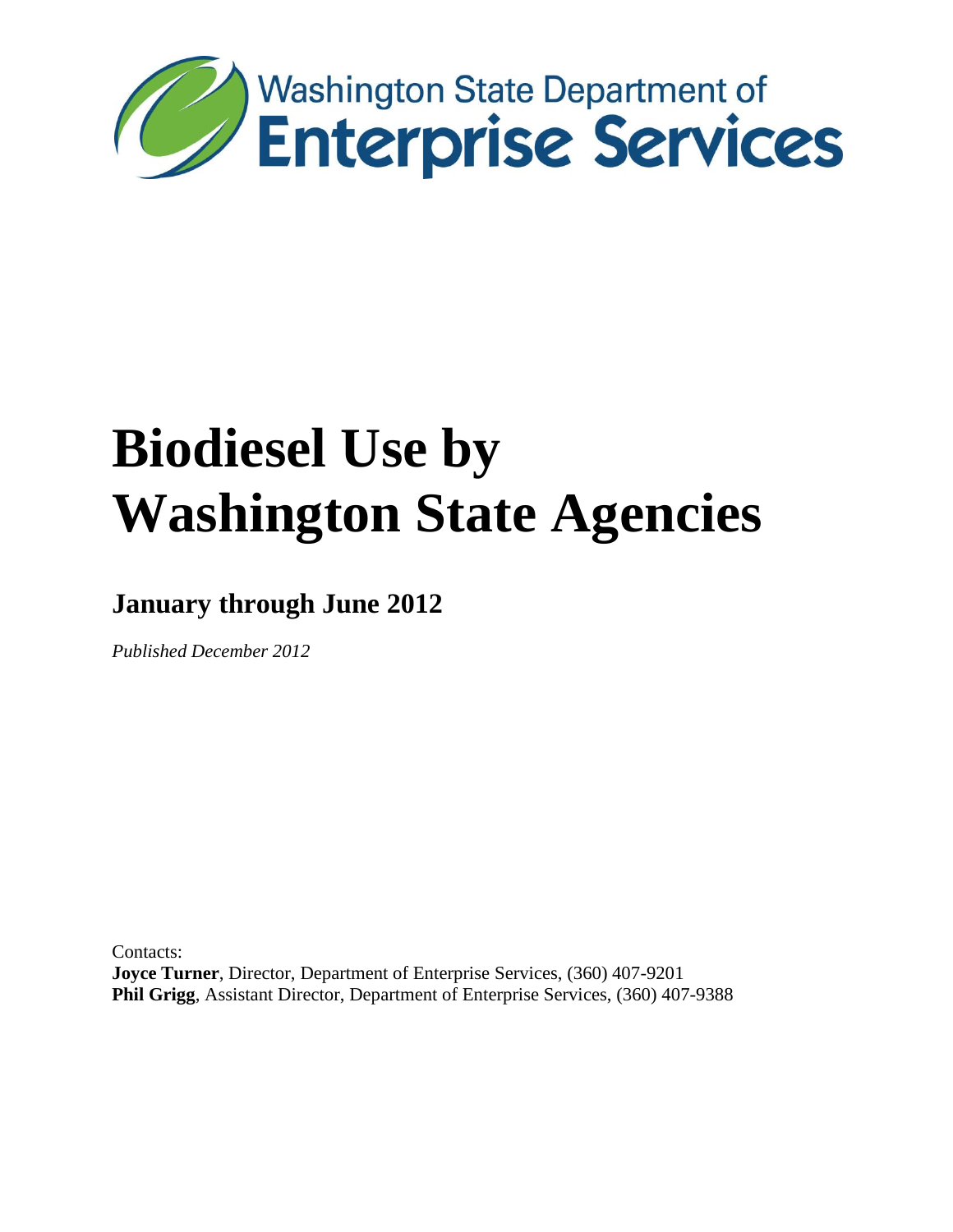

# **January through June 2012**

*Published December 2012*

Contacts: **Joyce Turner**, Director, Department of Enterprise Services, (360) 407-9201 **Phil Grigg**, Assistant Director, Department of Enterprise Services, (360) 407-9388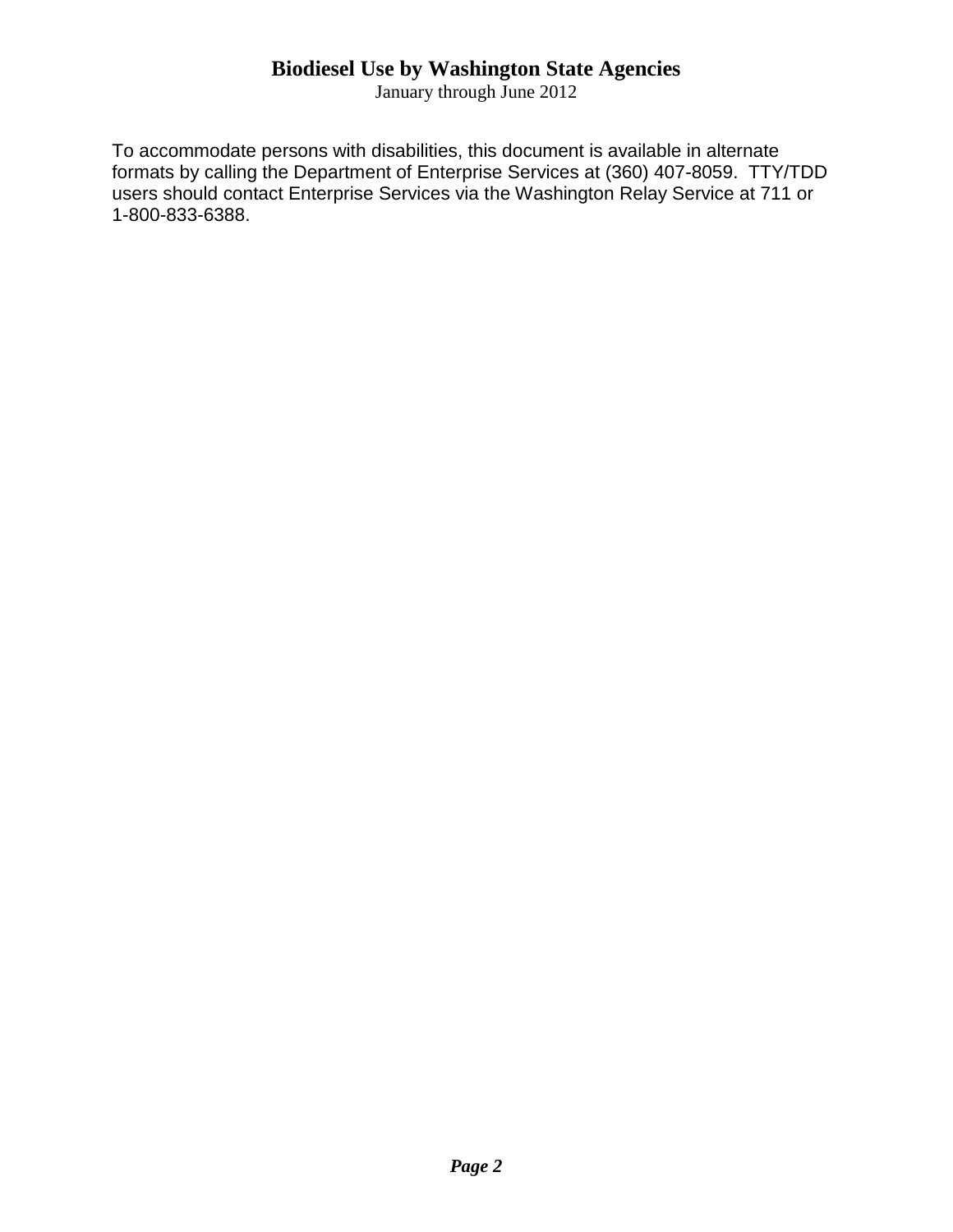January through June 2012

To accommodate persons with disabilities, this document is available in alternate formats by calling the Department of Enterprise Services at (360) 407-8059. TTY/TDD users should contact Enterprise Services via the Washington Relay Service at 711 or 1-800-833-6388.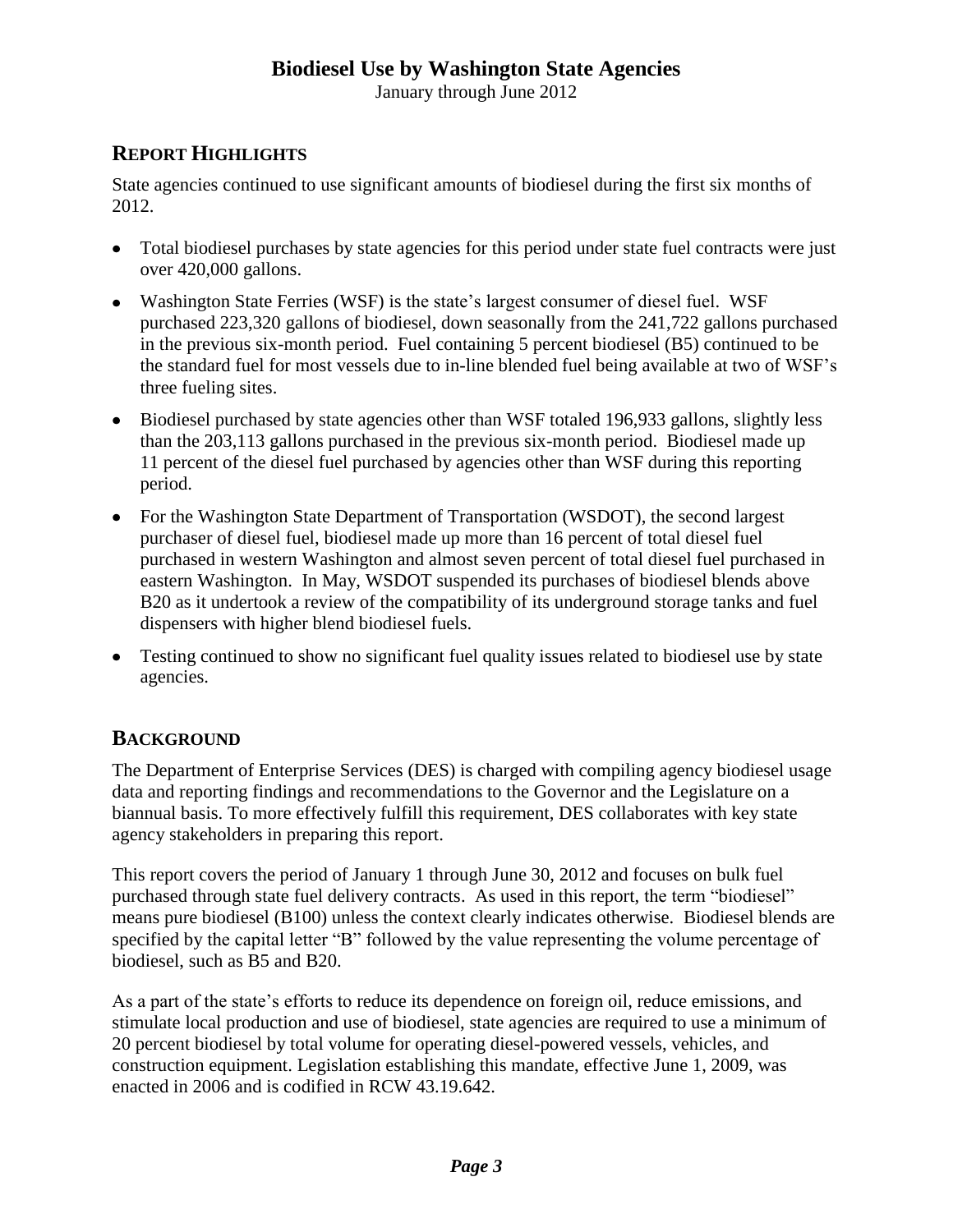January through June 2012

# **REPORT HIGHLIGHTS**

State agencies continued to use significant amounts of biodiesel during the first six months of 2012.

- Total biodiesel purchases by state agencies for this period under state fuel contracts were just over 420,000 gallons.
- Washington State Ferries (WSF) is the state's largest consumer of diesel fuel. WSF purchased 223,320 gallons of biodiesel, down seasonally from the 241,722 gallons purchased in the previous six-month period. Fuel containing 5 percent biodiesel (B5) continued to be the standard fuel for most vessels due to in-line blended fuel being available at two of WSF's three fueling sites.
- Biodiesel purchased by state agencies other than WSF totaled 196,933 gallons, slightly less than the 203,113 gallons purchased in the previous six-month period. Biodiesel made up 11 percent of the diesel fuel purchased by agencies other than WSF during this reporting period.
- For the Washington State Department of Transportation (WSDOT), the second largest purchaser of diesel fuel, biodiesel made up more than 16 percent of total diesel fuel purchased in western Washington and almost seven percent of total diesel fuel purchased in eastern Washington. In May, WSDOT suspended its purchases of biodiesel blends above B20 as it undertook a review of the compatibility of its underground storage tanks and fuel dispensers with higher blend biodiesel fuels.
- Testing continued to show no significant fuel quality issues related to biodiesel use by state agencies.

# **BACKGROUND**

The Department of Enterprise Services (DES) is charged with compiling agency biodiesel usage data and reporting findings and recommendations to the Governor and the Legislature on a biannual basis. To more effectively fulfill this requirement, DES collaborates with key state agency stakeholders in preparing this report.

This report covers the period of January 1 through June 30, 2012 and focuses on bulk fuel purchased through state fuel delivery contracts. As used in this report, the term "biodiesel" means pure biodiesel (B100) unless the context clearly indicates otherwise. Biodiesel blends are specified by the capital letter "B" followed by the value representing the volume percentage of biodiesel, such as B5 and B20.

As a part of the state's efforts to reduce its dependence on foreign oil, reduce emissions, and stimulate local production and use of biodiesel, state agencies are required to use a minimum of 20 percent biodiesel by total volume for operating diesel-powered vessels, vehicles, and construction equipment. Legislation establishing this mandate, effective June 1, 2009, was enacted in 2006 and is codified in RCW 43.19.642.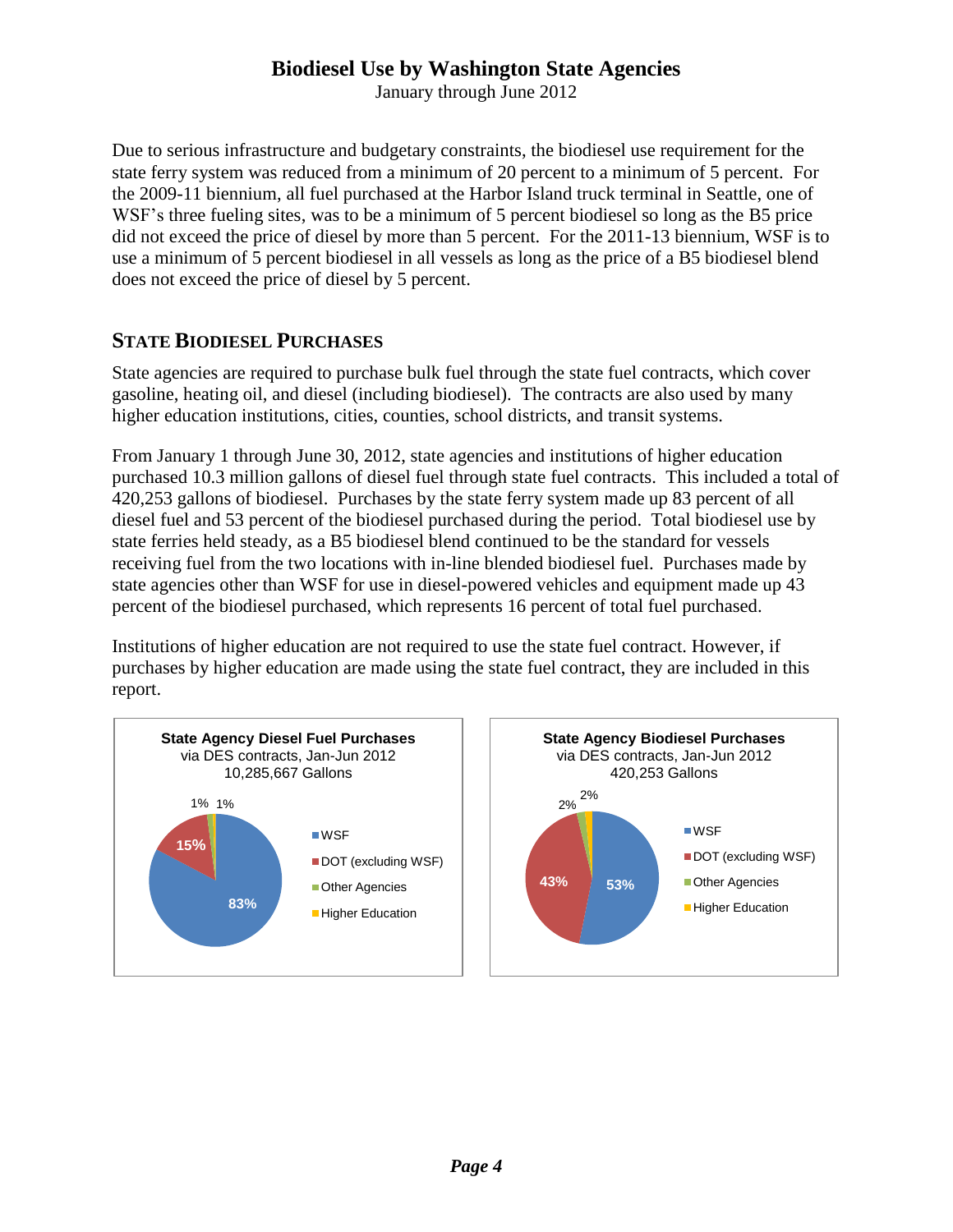January through June 2012

Due to serious infrastructure and budgetary constraints, the biodiesel use requirement for the state ferry system was reduced from a minimum of 20 percent to a minimum of 5 percent. For the 2009-11 biennium, all fuel purchased at the Harbor Island truck terminal in Seattle, one of WSF's three fueling sites, was to be a minimum of 5 percent biodiesel so long as the B5 price did not exceed the price of diesel by more than 5 percent. For the 2011-13 biennium, WSF is to use a minimum of 5 percent biodiesel in all vessels as long as the price of a B5 biodiesel blend does not exceed the price of diesel by 5 percent.

# **STATE BIODIESEL PURCHASES**

State agencies are required to purchase bulk fuel through the state fuel contracts, which cover gasoline, heating oil, and diesel (including biodiesel). The contracts are also used by many higher education institutions, cities, counties, school districts, and transit systems.

From January 1 through June 30, 2012, state agencies and institutions of higher education purchased 10.3 million gallons of diesel fuel through state fuel contracts. This included a total of 420,253 gallons of biodiesel. Purchases by the state ferry system made up 83 percent of all diesel fuel and 53 percent of the biodiesel purchased during the period. Total biodiesel use by state ferries held steady, as a B5 biodiesel blend continued to be the standard for vessels receiving fuel from the two locations with in-line blended biodiesel fuel. Purchases made by state agencies other than WSF for use in diesel-powered vehicles and equipment made up 43 percent of the biodiesel purchased, which represents 16 percent of total fuel purchased.

Institutions of higher education are not required to use the state fuel contract. However, if purchases by higher education are made using the state fuel contract, they are included in this report.



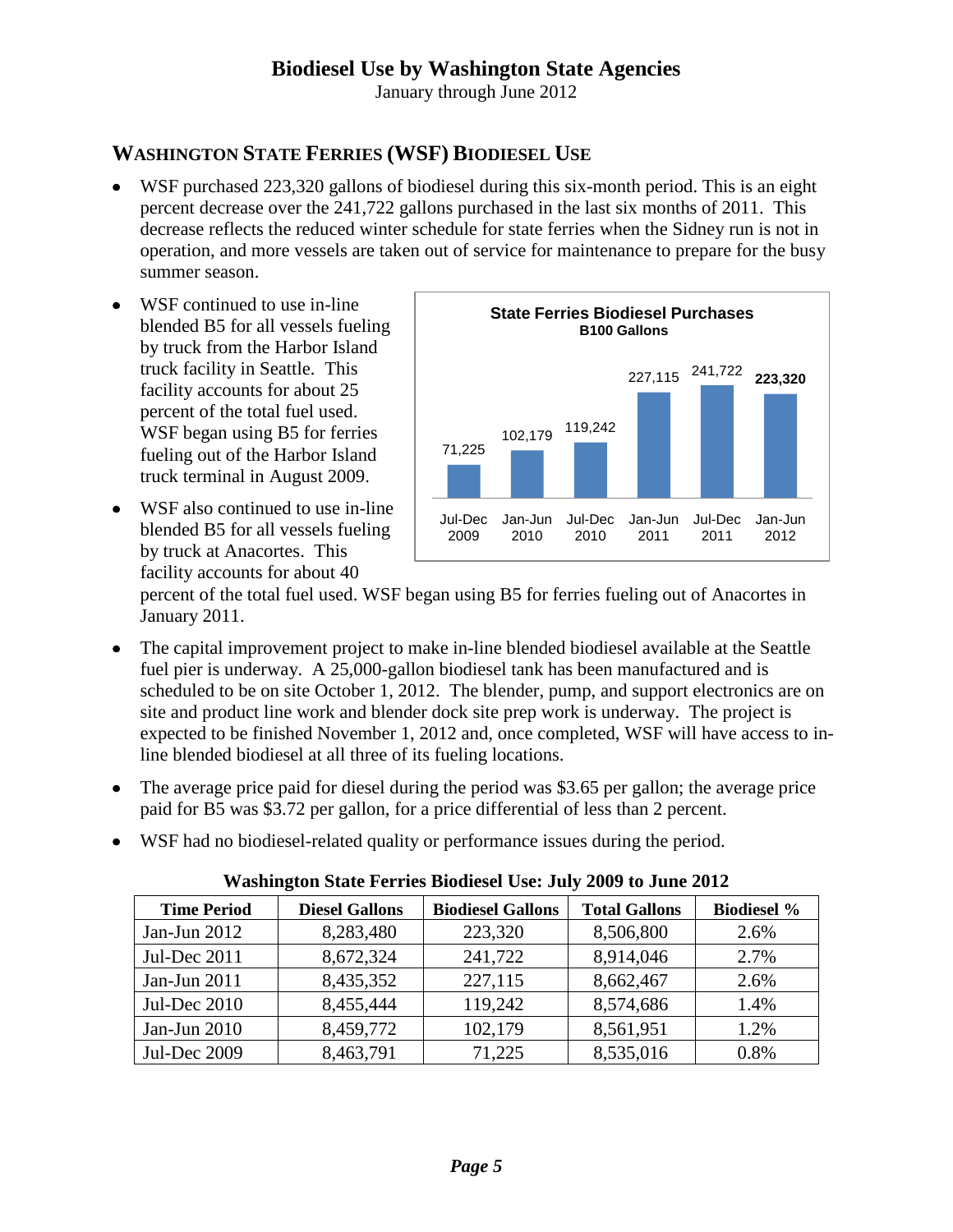January through June 2012

# **WASHINGTON STATE FERRIES (WSF) BIODIESEL USE**

- WSF purchased 223,320 gallons of biodiesel during this six-month period. This is an eight percent decrease over the 241,722 gallons purchased in the last six months of 2011. This decrease reflects the reduced winter schedule for state ferries when the Sidney run is not in operation, and more vessels are taken out of service for maintenance to prepare for the busy summer season.
- WSF continued to use in-line  $\bullet$ blended B5 for all vessels fueling by truck from the Harbor Island truck facility in Seattle. This facility accounts for about 25 percent of the total fuel used. WSF began using B5 for ferries fueling out of the Harbor Island truck terminal in August 2009.
- WSF also continued to use in-line blended B5 for all vessels fueling by truck at Anacortes. This facility accounts for about 40



percent of the total fuel used. WSF began using B5 for ferries fueling out of Anacortes in January 2011.

- The capital improvement project to make in-line blended biodiesel available at the Seattle fuel pier is underway. A 25,000-gallon biodiesel tank has been manufactured and is scheduled to be on site October 1, 2012. The blender, pump, and support electronics are on site and product line work and blender dock site prep work is underway. The project is expected to be finished November 1, 2012 and, once completed, WSF will have access to inline blended biodiesel at all three of its fueling locations.
- The average price paid for diesel during the period was \$3.65 per gallon; the average price paid for B5 was \$3.72 per gallon, for a price differential of less than 2 percent.
- WSF had no biodiesel-related quality or performance issues during the period.

|  | <b>Washington State Ferries Biodiesel Use: July 2009 to June 2012</b> |  |  |  |  |
|--|-----------------------------------------------------------------------|--|--|--|--|
|--|-----------------------------------------------------------------------|--|--|--|--|

| <b>Time Period</b>  | <b>Diesel Gallons</b> | <b>Biodiesel Gallons</b> | <b>Total Gallons</b> | <b>Biodiesel %</b> |
|---------------------|-----------------------|--------------------------|----------------------|--------------------|
| Jan-Jun 2012        | 8,283,480             | 223,320                  | 8,506,800            | 2.6%               |
| Jul-Dec 2011        | 8,672,324             | 241,722                  | 8,914,046            | 2.7%               |
| Jan-Jun 2011        | 8,435,352             | 227,115                  | 8,662,467            | 2.6%               |
| Jul-Dec 2010        | 8,455,444             | 119,242                  | 8,574,686            | 1.4%               |
| Jan-Jun 2010        | 8,459,772             | 102,179                  | 8,561,951            | 1.2%               |
| <b>Jul-Dec 2009</b> | 8,463,791             | 71,225                   | 8,535,016            | 0.8%               |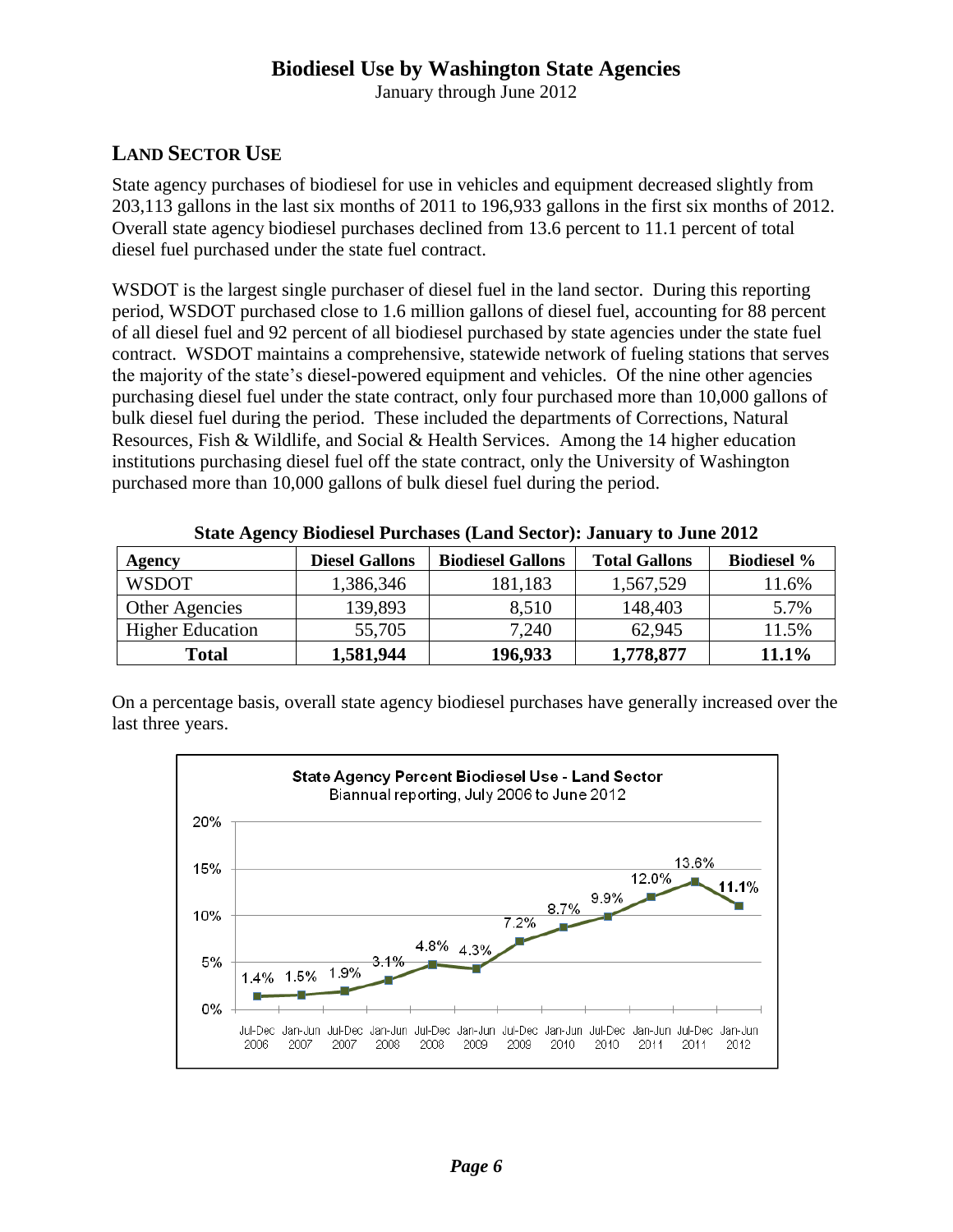January through June 2012

# **LAND SECTOR USE**

State agency purchases of biodiesel for use in vehicles and equipment decreased slightly from 203,113 gallons in the last six months of 2011 to 196,933 gallons in the first six months of 2012. Overall state agency biodiesel purchases declined from 13.6 percent to 11.1 percent of total diesel fuel purchased under the state fuel contract.

WSDOT is the largest single purchaser of diesel fuel in the land sector. During this reporting period, WSDOT purchased close to 1.6 million gallons of diesel fuel, accounting for 88 percent of all diesel fuel and 92 percent of all biodiesel purchased by state agencies under the state fuel contract. WSDOT maintains a comprehensive, statewide network of fueling stations that serves the majority of the state's diesel-powered equipment and vehicles. Of the nine other agencies purchasing diesel fuel under the state contract, only four purchased more than 10,000 gallons of bulk diesel fuel during the period. These included the departments of Corrections, Natural Resources, Fish & Wildlife, and Social & Health Services. Among the 14 higher education institutions purchasing diesel fuel off the state contract, only the University of Washington purchased more than 10,000 gallons of bulk diesel fuel during the period.

| Agency                  | <b>Diesel Gallons</b> | <b>Biodiesel Gallons</b> | <b>Total Gallons</b> | <b>Biodiesel %</b> |
|-------------------------|-----------------------|--------------------------|----------------------|--------------------|
| <b>WSDOT</b>            | 1,386,346             | 181,183                  | 1,567,529            | 11.6%              |
| Other Agencies          | 139,893               | 8,510                    | 148,403              | 5.7%               |
| <b>Higher Education</b> | 55,705                | 7,240                    | 62,945               | 11.5%              |
| Total                   | 1,581,944             | 196,933                  | 1,778,877            | 11.1%              |

**State Agency Biodiesel Purchases (Land Sector): January to June 2012**

On a percentage basis, overall state agency biodiesel purchases have generally increased over the last three years.

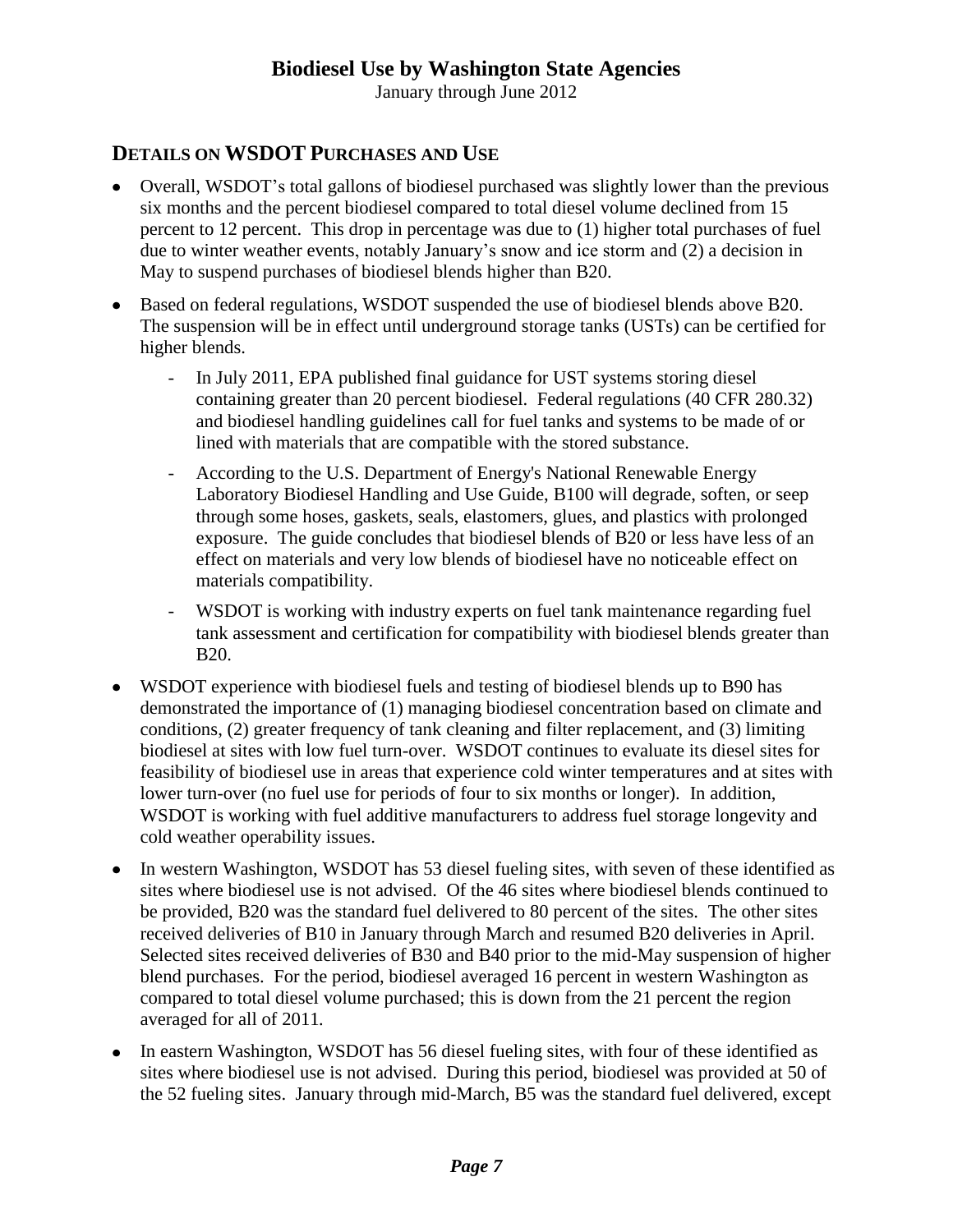January through June 2012

# **DETAILS ON WSDOT PURCHASES AND USE**

- Overall, WSDOT's total gallons of biodiesel purchased was slightly lower than the previous six months and the percent biodiesel compared to total diesel volume declined from 15 percent to 12 percent. This drop in percentage was due to (1) higher total purchases of fuel due to winter weather events, notably January's snow and ice storm and (2) a decision in May to suspend purchases of biodiesel blends higher than B20.
- Based on federal regulations, WSDOT suspended the use of biodiesel blends above B20. The suspension will be in effect until underground storage tanks (USTs) can be certified for higher blends.
	- In July 2011, EPA published final guidance for UST systems storing diesel containing greater than 20 percent biodiesel. Federal regulations (40 CFR 280.32) and biodiesel handling guidelines call for fuel tanks and systems to be made of or lined with materials that are compatible with the stored substance.
	- According to the U.S. Department of Energy's National Renewable Energy Laboratory Biodiesel Handling and Use Guide, B100 will degrade, soften, or seep through some hoses, gaskets, seals, elastomers, glues, and plastics with prolonged exposure. The guide concludes that biodiesel blends of B20 or less have less of an effect on materials and very low blends of biodiesel have no noticeable effect on materials compatibility.
	- WSDOT is working with industry experts on fuel tank maintenance regarding fuel tank assessment and certification for compatibility with biodiesel blends greater than B20.
- WSDOT experience with biodiesel fuels and testing of biodiesel blends up to B90 has demonstrated the importance of (1) managing biodiesel concentration based on climate and conditions, (2) greater frequency of tank cleaning and filter replacement, and (3) limiting biodiesel at sites with low fuel turn-over. WSDOT continues to evaluate its diesel sites for feasibility of biodiesel use in areas that experience cold winter temperatures and at sites with lower turn-over (no fuel use for periods of four to six months or longer). In addition, WSDOT is working with fuel additive manufacturers to address fuel storage longevity and cold weather operability issues.
- In western Washington, WSDOT has 53 diesel fueling sites, with seven of these identified as sites where biodiesel use is not advised. Of the 46 sites where biodiesel blends continued to be provided, B20 was the standard fuel delivered to 80 percent of the sites. The other sites received deliveries of B10 in January through March and resumed B20 deliveries in April. Selected sites received deliveries of B30 and B40 prior to the mid-May suspension of higher blend purchases. For the period, biodiesel averaged 16 percent in western Washington as compared to total diesel volume purchased; this is down from the 21 percent the region averaged for all of 2011*.*
- In eastern Washington, WSDOT has 56 diesel fueling sites, with four of these identified as sites where biodiesel use is not advised. During this period, biodiesel was provided at 50 of the 52 fueling sites. January through mid-March, B5 was the standard fuel delivered, except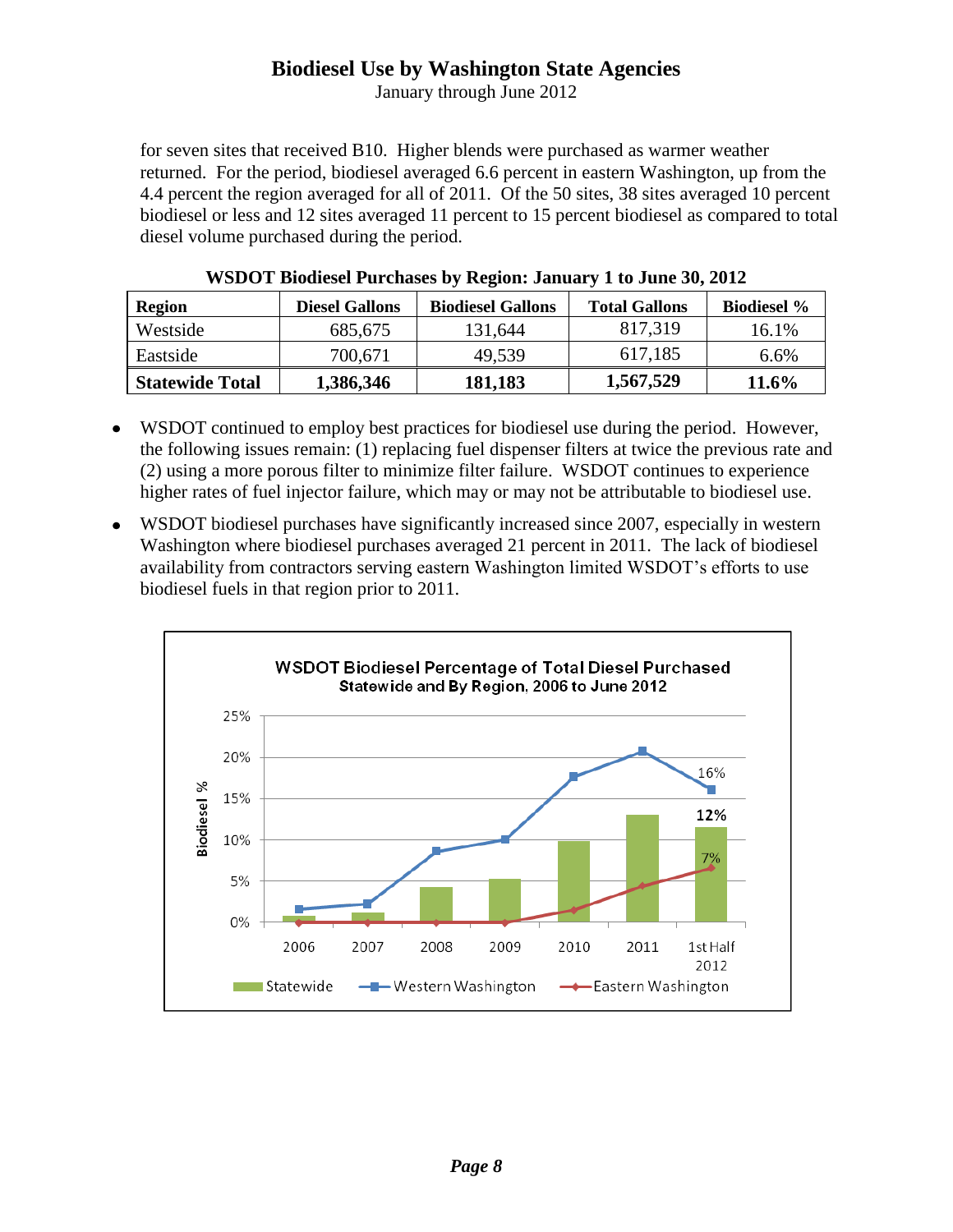January through June 2012

for seven sites that received B10. Higher blends were purchased as warmer weather returned. For the period, biodiesel averaged 6.6 percent in eastern Washington, up from the 4.4 percent the region averaged for all of 2011. Of the 50 sites, 38 sites averaged 10 percent biodiesel or less and 12 sites averaged 11 percent to 15 percent biodiesel as compared to total diesel volume purchased during the period.

| <b>Region</b>          | <b>Diesel Gallons</b> | <b>Biodiesel Gallons</b> | <b>Total Gallons</b> | <b>Biodiesel</b> % |
|------------------------|-----------------------|--------------------------|----------------------|--------------------|
| Westside               | 685,675               | 131,644                  | 817,319              | 16.1%              |
| Eastside               | 700,671               | 49,539                   | 617,185              | $6.6\%$            |
| <b>Statewide Total</b> | 1,386,346             | 181,183                  | 1,567,529            | $11.6\%$           |

| WSDOT Biodiesel Purchases by Region: January 1 to June 30, 2012 |  |  |  |
|-----------------------------------------------------------------|--|--|--|
|-----------------------------------------------------------------|--|--|--|

- WSDOT continued to employ best practices for biodiesel use during the period. However, the following issues remain: (1) replacing fuel dispenser filters at twice the previous rate and (2) using a more porous filter to minimize filter failure. WSDOT continues to experience higher rates of fuel injector failure, which may or may not be attributable to biodiesel use.
- WSDOT biodiesel purchases have significantly increased since 2007, especially in western Washington where biodiesel purchases averaged 21 percent in 2011. The lack of biodiesel availability from contractors serving eastern Washington limited WSDOT's efforts to use biodiesel fuels in that region prior to 2011.

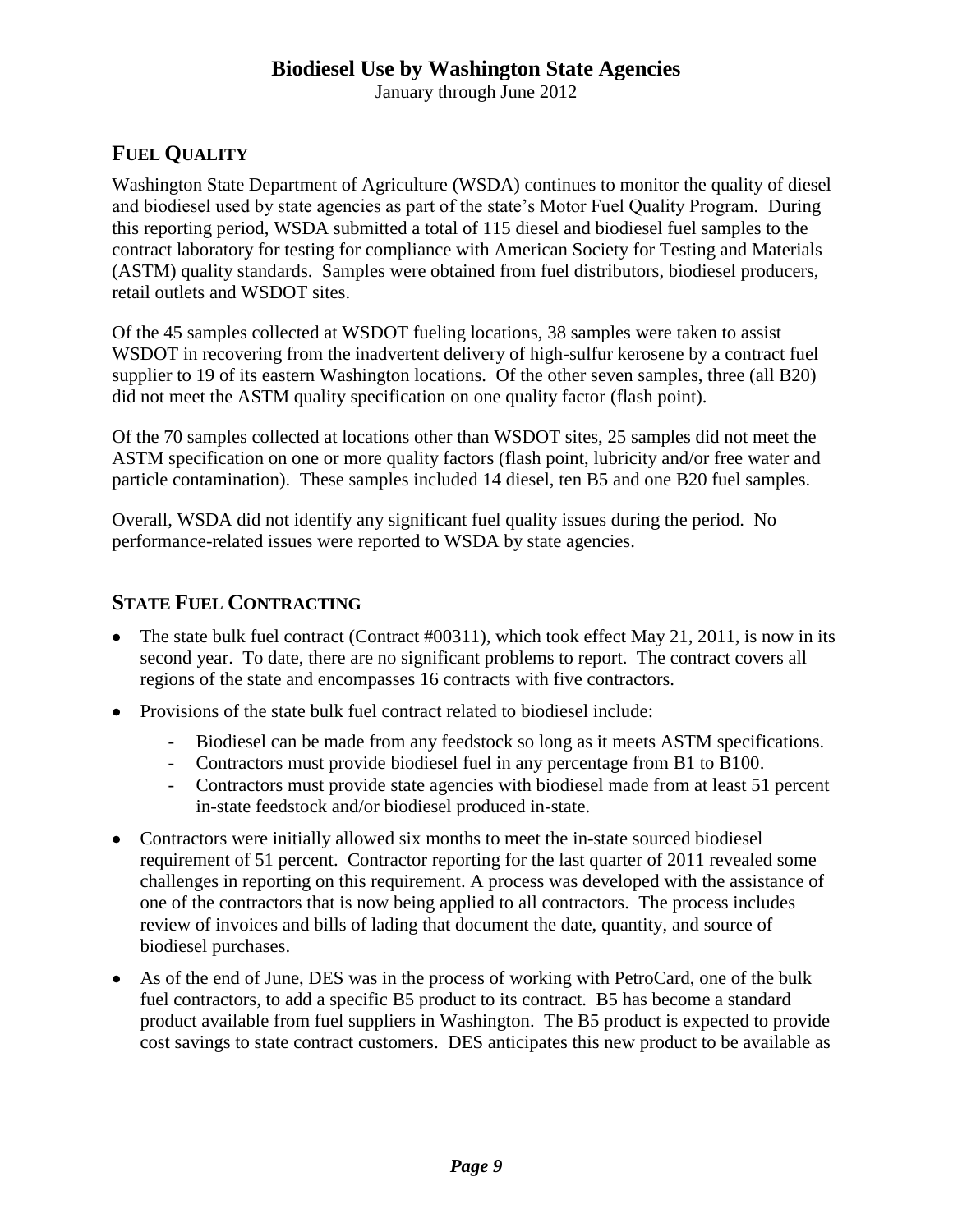January through June 2012

# **FUEL QUALITY**

Washington State Department of Agriculture (WSDA) continues to monitor the quality of diesel and biodiesel used by state agencies as part of the state's Motor Fuel Quality Program. During this reporting period, WSDA submitted a total of 115 diesel and biodiesel fuel samples to the contract laboratory for testing for compliance with American Society for Testing and Materials (ASTM) quality standards. Samples were obtained from fuel distributors, biodiesel producers, retail outlets and WSDOT sites.

Of the 45 samples collected at WSDOT fueling locations, 38 samples were taken to assist WSDOT in recovering from the inadvertent delivery of high-sulfur kerosene by a contract fuel supplier to 19 of its eastern Washington locations. Of the other seven samples, three (all B20) did not meet the ASTM quality specification on one quality factor (flash point).

Of the 70 samples collected at locations other than WSDOT sites, 25 samples did not meet the ASTM specification on one or more quality factors (flash point, lubricity and/or free water and particle contamination). These samples included 14 diesel, ten B5 and one B20 fuel samples.

Overall, WSDA did not identify any significant fuel quality issues during the period. No performance-related issues were reported to WSDA by state agencies.

#### **STATE FUEL CONTRACTING**

- The state bulk fuel contract (Contract #00311), which took effect May 21, 2011, is now in its second year. To date, there are no significant problems to report. The contract covers all regions of the state and encompasses 16 contracts with five contractors.
- Provisions of the state bulk fuel contract related to biodiesel include:
	- Biodiesel can be made from any feedstock so long as it meets ASTM specifications.
	- Contractors must provide biodiesel fuel in any percentage from B1 to B100.
	- Contractors must provide state agencies with biodiesel made from at least 51 percent in-state feedstock and/or biodiesel produced in-state.
- Contractors were initially allowed six months to meet the in-state sourced biodiesel requirement of 51 percent. Contractor reporting for the last quarter of 2011 revealed some challenges in reporting on this requirement. A process was developed with the assistance of one of the contractors that is now being applied to all contractors. The process includes review of invoices and bills of lading that document the date, quantity, and source of biodiesel purchases.
- As of the end of June, DES was in the process of working with PetroCard, one of the bulk fuel contractors, to add a specific B5 product to its contract. B5 has become a standard product available from fuel suppliers in Washington. The B5 product is expected to provide cost savings to state contract customers. DES anticipates this new product to be available as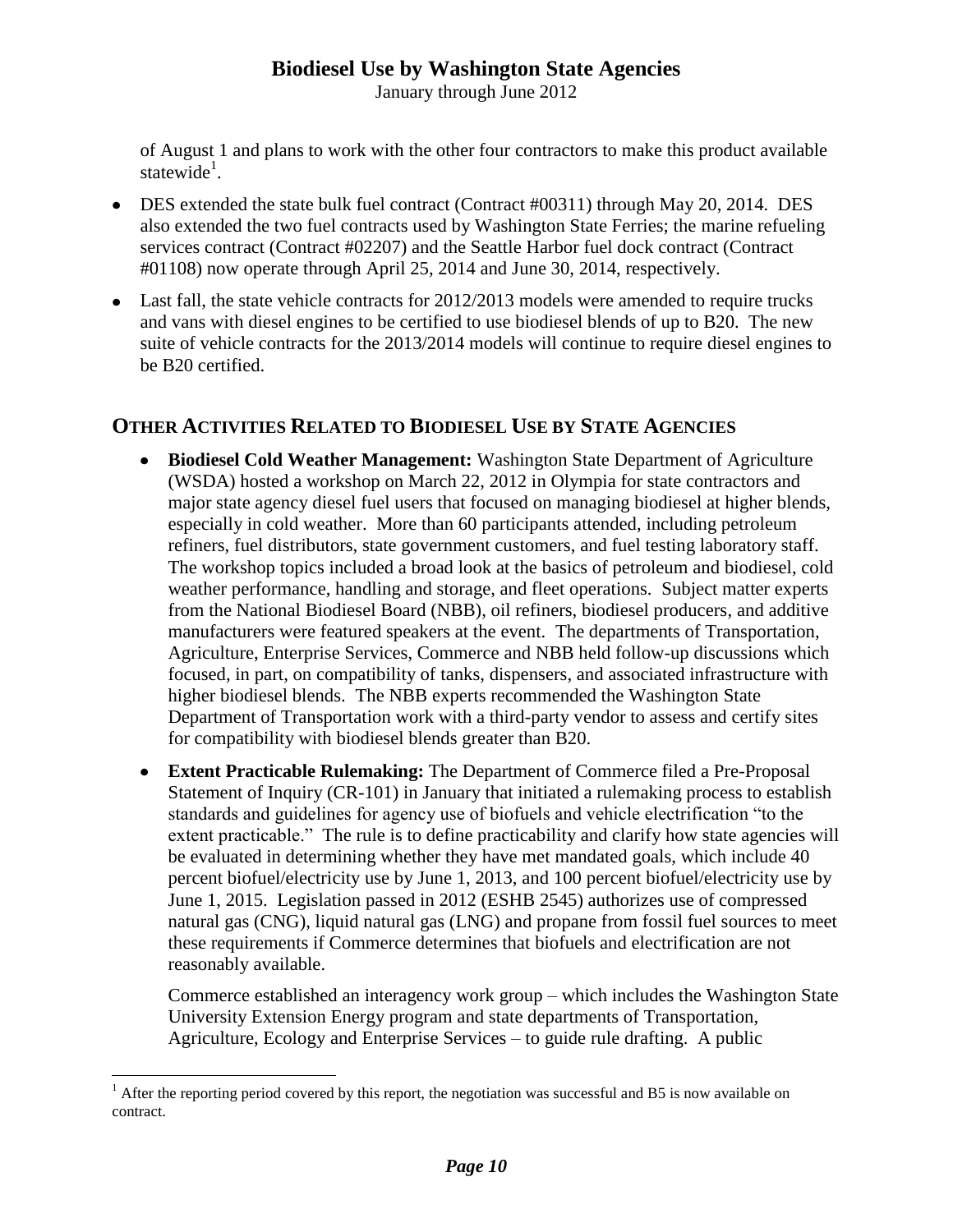January through June 2012

of August 1 and plans to work with the other four contractors to make this product available statewide<sup>1</sup>.

- DES extended the state bulk fuel contract (Contract #00311) through May 20, 2014. DES also extended the two fuel contracts used by Washington State Ferries; the marine refueling services contract (Contract #02207) and the Seattle Harbor fuel dock contract (Contract #01108) now operate through April 25, 2014 and June 30, 2014, respectively.
- Last fall, the state vehicle contracts for 2012/2013 models were amended to require trucks and vans with diesel engines to be certified to use biodiesel blends of up to B20. The new suite of vehicle contracts for the 2013/2014 models will continue to require diesel engines to be B20 certified.

# **OTHER ACTIVITIES RELATED TO BIODIESEL USE BY STATE AGENCIES**

- **Biodiesel Cold Weather Management:** Washington State Department of Agriculture (WSDA) hosted a workshop on March 22, 2012 in Olympia for state contractors and major state agency diesel fuel users that focused on managing biodiesel at higher blends, especially in cold weather. More than 60 participants attended, including petroleum refiners, fuel distributors, state government customers, and fuel testing laboratory staff. The workshop topics included a broad look at the basics of petroleum and biodiesel, cold weather performance, handling and storage, and fleet operations. Subject matter experts from the National Biodiesel Board (NBB), oil refiners, biodiesel producers, and additive manufacturers were featured speakers at the event. The departments of Transportation, Agriculture, Enterprise Services, Commerce and NBB held follow-up discussions which focused, in part, on compatibility of tanks, dispensers, and associated infrastructure with higher biodiesel blends. The NBB experts recommended the Washington State Department of Transportation work with a third-party vendor to assess and certify sites for compatibility with biodiesel blends greater than B20.
- **Extent Practicable Rulemaking:** The Department of Commerce filed a Pre-Proposal  $\bullet$ Statement of Inquiry (CR-101) in January that initiated a rulemaking process to establish standards and guidelines for agency use of biofuels and vehicle electrification "to the extent practicable." The rule is to define practicability and clarify how state agencies will be evaluated in determining whether they have met mandated goals, which include 40 percent biofuel/electricity use by June 1, 2013, and 100 percent biofuel/electricity use by June 1, 2015. Legislation passed in 2012 (ESHB 2545) authorizes use of compressed natural gas (CNG), liquid natural gas (LNG) and propane from fossil fuel sources to meet these requirements if Commerce determines that biofuels and electrification are not reasonably available.

Commerce established an interagency work group – which includes the Washington State University Extension Energy program and state departments of Transportation, Agriculture, Ecology and Enterprise Services – to guide rule drafting. A public

 $\overline{a}$ 

<sup>&</sup>lt;sup>1</sup> After the reporting period covered by this report, the negotiation was successful and B5 is now available on contract.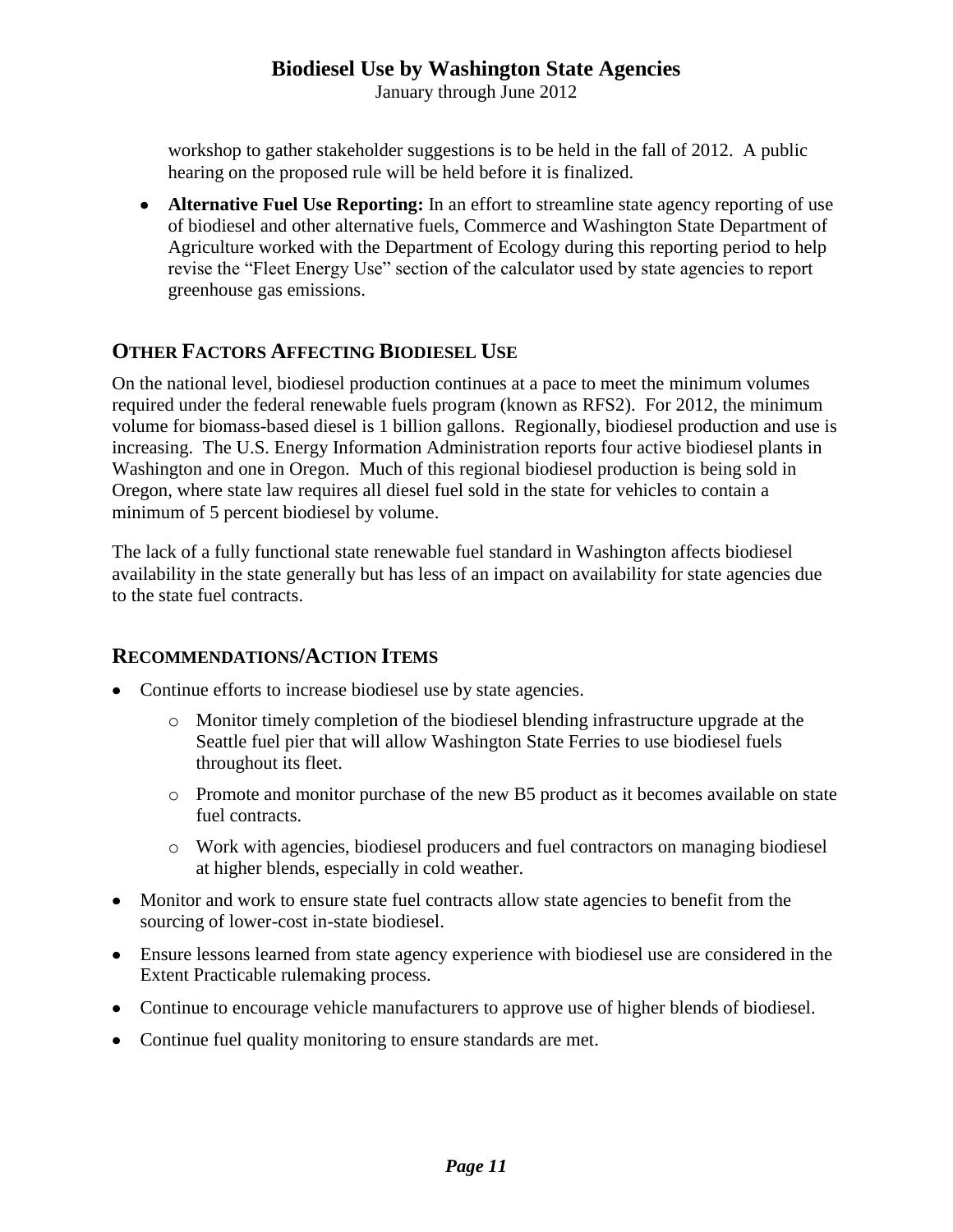January through June 2012

workshop to gather stakeholder suggestions is to be held in the fall of 2012. A public hearing on the proposed rule will be held before it is finalized.

**Alternative Fuel Use Reporting:** In an effort to streamline state agency reporting of use of biodiesel and other alternative fuels, Commerce and Washington State Department of Agriculture worked with the Department of Ecology during this reporting period to help revise the "Fleet Energy Use" section of the calculator used by state agencies to report greenhouse gas emissions.

# **OTHER FACTORS AFFECTING BIODIESEL USE**

On the national level, biodiesel production continues at a pace to meet the minimum volumes required under the federal renewable fuels program (known as RFS2). For 2012, the minimum volume for biomass-based diesel is 1 billion gallons. Regionally, biodiesel production and use is increasing. The U.S. Energy Information Administration reports four active biodiesel plants in Washington and one in Oregon. Much of this regional biodiesel production is being sold in Oregon, where state law requires all diesel fuel sold in the state for vehicles to contain a minimum of 5 percent biodiesel by volume.

The lack of a fully functional state renewable fuel standard in Washington affects biodiesel availability in the state generally but has less of an impact on availability for state agencies due to the state fuel contracts.

# **RECOMMENDATIONS/ACTION ITEMS**

- Continue efforts to increase biodiesel use by state agencies.
	- o Monitor timely completion of the biodiesel blending infrastructure upgrade at the Seattle fuel pier that will allow Washington State Ferries to use biodiesel fuels throughout its fleet.
	- o Promote and monitor purchase of the new B5 product as it becomes available on state fuel contracts.
	- o Work with agencies, biodiesel producers and fuel contractors on managing biodiesel at higher blends, especially in cold weather.
- Monitor and work to ensure state fuel contracts allow state agencies to benefit from the sourcing of lower-cost in-state biodiesel.
- Ensure lessons learned from state agency experience with biodiesel use are considered in the Extent Practicable rulemaking process.
- Continue to encourage vehicle manufacturers to approve use of higher blends of biodiesel.
- Continue fuel quality monitoring to ensure standards are met.